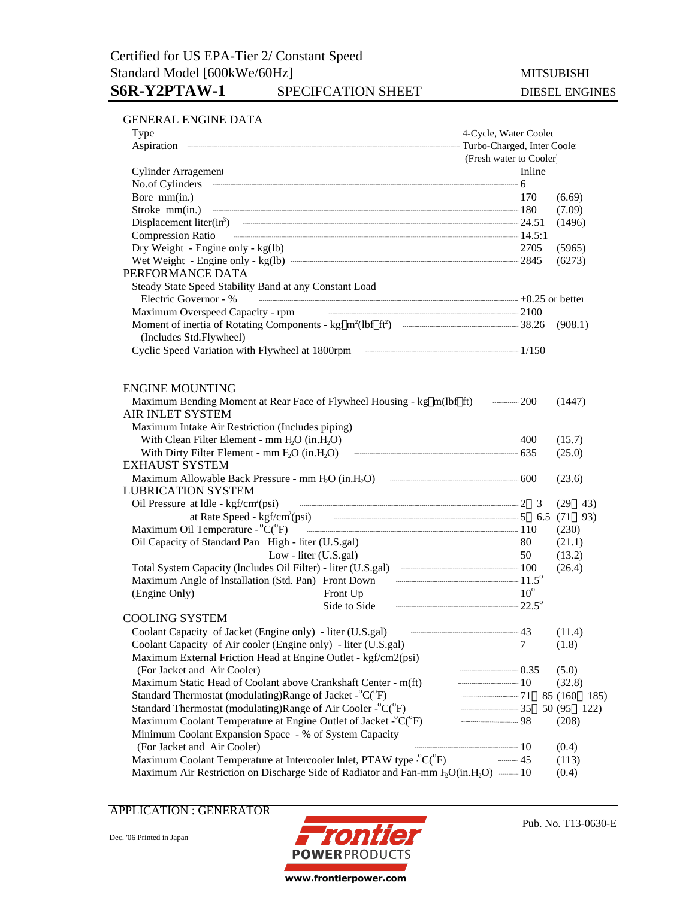### GENERAL ENGINE DATA

|                                                                                                                                                                                                                                                                                                                      | (Fresh water to Cooler) |                  |  |  |
|----------------------------------------------------------------------------------------------------------------------------------------------------------------------------------------------------------------------------------------------------------------------------------------------------------------------|-------------------------|------------------|--|--|
|                                                                                                                                                                                                                                                                                                                      |                         |                  |  |  |
|                                                                                                                                                                                                                                                                                                                      |                         |                  |  |  |
| Bore mm(in.) $\frac{170}{250}$                                                                                                                                                                                                                                                                                       |                         | (6.69)           |  |  |
|                                                                                                                                                                                                                                                                                                                      |                         | (7.09)           |  |  |
| Displacement liter(in <sup>3</sup> ) $\frac{1}{24.51}$                                                                                                                                                                                                                                                               |                         | (1496)           |  |  |
| <b>Compression Ratio</b>                                                                                                                                                                                                                                                                                             |                         |                  |  |  |
|                                                                                                                                                                                                                                                                                                                      |                         | (5965)           |  |  |
|                                                                                                                                                                                                                                                                                                                      |                         | (6273)           |  |  |
| PERFORMANCE DATA                                                                                                                                                                                                                                                                                                     |                         |                  |  |  |
| Steady State Speed Stability Band at any Constant Load                                                                                                                                                                                                                                                               |                         |                  |  |  |
| $\pm 0.25$ or better<br>Electric Governor - %                                                                                                                                                                                                                                                                        |                         |                  |  |  |
|                                                                                                                                                                                                                                                                                                                      |                         |                  |  |  |
|                                                                                                                                                                                                                                                                                                                      |                         | (908.1)          |  |  |
| (Includes Std.Flywheel)                                                                                                                                                                                                                                                                                              |                         |                  |  |  |
|                                                                                                                                                                                                                                                                                                                      |                         |                  |  |  |
|                                                                                                                                                                                                                                                                                                                      |                         |                  |  |  |
| <b>ENGINE MOUNTING</b>                                                                                                                                                                                                                                                                                               |                         |                  |  |  |
|                                                                                                                                                                                                                                                                                                                      |                         | (1447)           |  |  |
| AIR INLET SYSTEM                                                                                                                                                                                                                                                                                                     |                         |                  |  |  |
| Maximum Intake Air Restriction (Includes piping)                                                                                                                                                                                                                                                                     |                         |                  |  |  |
| With Clean Filter Element - mm $H_2O$ (in $H_2O$ ) $\cdots$ $\cdots$ $\cdots$ $\cdots$ $\cdots$ $\cdots$ $\cdots$ $\cdots$ $\cdots$ $\cdots$ $\cdots$ $\cdots$ $\cdots$ $\cdots$ $\cdots$ $\cdots$ $\cdots$ $\cdots$ $\cdots$ $\cdots$ $\cdots$ $\cdots$ $\cdots$ $\cdots$ $\cdots$ $\cdots$ $\cdots$ $\cdots$ $\cd$ |                         | (15.7)           |  |  |
|                                                                                                                                                                                                                                                                                                                      |                         | (25.0)           |  |  |
| <b>EXHAUST SYSTEM</b>                                                                                                                                                                                                                                                                                                |                         |                  |  |  |
|                                                                                                                                                                                                                                                                                                                      |                         | (23.6)           |  |  |
| <b>LUBRICATION SYSTEM</b>                                                                                                                                                                                                                                                                                            |                         |                  |  |  |
| Oil Pressure at Idle - kgf/cm <sup>2</sup> (psi) — — — — — — 2 3                                                                                                                                                                                                                                                     |                         | $(29 \t 43)$     |  |  |
| at Rate Speed - kgf/cm <sup>2</sup> (psi) — — — — — 5 6.5 (71                                                                                                                                                                                                                                                        |                         | 93)              |  |  |
| Maximum Oil Temperature - °C(°F) — — — — — — 110                                                                                                                                                                                                                                                                     |                         | (230)            |  |  |
|                                                                                                                                                                                                                                                                                                                      |                         | (21.1)           |  |  |
| Oil Capacity of Standard Pan High - liter (U.S.gal) Low - liter (U.S.gal) 50                                                                                                                                                                                                                                         |                         | (13.2)           |  |  |
|                                                                                                                                                                                                                                                                                                                      |                         | (26.4)           |  |  |
| Maximum Angle of Installation (Std. Pan) Front Down Theorem 21.5°                                                                                                                                                                                                                                                    |                         |                  |  |  |
| Front Up $10^{\circ}$<br>(Engine Only)                                                                                                                                                                                                                                                                               |                         |                  |  |  |
| Side to Side $22.5^{\circ}$                                                                                                                                                                                                                                                                                          |                         |                  |  |  |
| <b>COOLING SYSTEM</b>                                                                                                                                                                                                                                                                                                |                         |                  |  |  |
| Coolant Capacity of Jacket (Engine only) - liter (U.S.gal)                                                                                                                                                                                                                                                           |                         | (11.4)           |  |  |
|                                                                                                                                                                                                                                                                                                                      |                         | (1.8)            |  |  |
|                                                                                                                                                                                                                                                                                                                      |                         |                  |  |  |
| Maximum External Friction Head at Engine Outlet - kgf/cm2(psi)<br>(For Jacket and Air Cooler)                                                                                                                                                                                                                        | $\frac{1}{2}$           |                  |  |  |
|                                                                                                                                                                                                                                                                                                                      | $\frac{1}{10}$          | (5.0)            |  |  |
| Maximum Static Head of Coolant above Crankshaft Center - m(ft)<br>Standard Thermostat (modulating)Range of Jacket - °C(°F)                                                                                                                                                                                           | $-$ 71                  | (32.8)           |  |  |
|                                                                                                                                                                                                                                                                                                                      | $\frac{1}{35}$          | 85 (160)<br>185) |  |  |
| Standard Thermostat (modulating)Range of Air Cooler - <sup>o</sup> C( <sup>o</sup> F)                                                                                                                                                                                                                                | $\frac{1}{2}$           | 50 (95)<br>122)  |  |  |
| Maximum Coolant Temperature at Engine Outlet of Jacket $\text{-}^{\circ}C(^{\circ}F)$                                                                                                                                                                                                                                |                         | (208)            |  |  |
| Minimum Coolant Expansion Space - % of System Capacity                                                                                                                                                                                                                                                               |                         |                  |  |  |
| (For Jacket and Air Cooler)                                                                                                                                                                                                                                                                                          |                         | (0.4)            |  |  |
| Maximum Coolant Temperature at Intercooler Inlet, PTAW type <sup>°</sup> C( <sup>°</sup> F)                                                                                                                                                                                                                          | $-$ 45                  | (113)            |  |  |
| Maximum Air Restriction on Discharge Side of Radiator and Fan-mm F <sub>2</sub> O(in.H <sub>2</sub> O) -------- 10                                                                                                                                                                                                   |                         | (0.4)            |  |  |

APPLICATION : GENERATOR

Dec. '06 Printed in Japan



Pub. No. T13-0630-E

www.frontierpower.com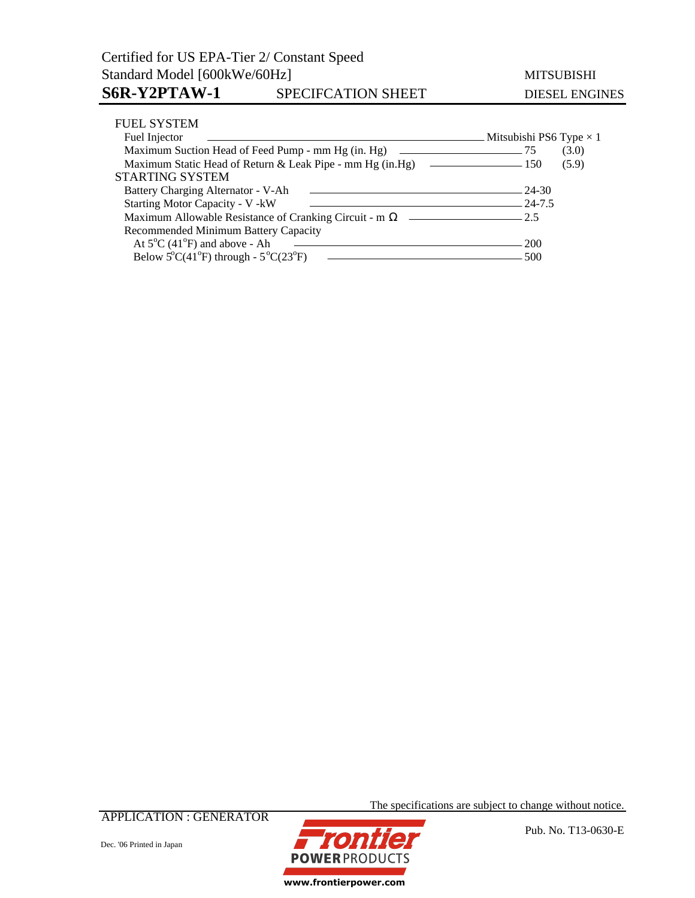| <b>FUEL SYSTEM</b>                                                  |                                |
|---------------------------------------------------------------------|--------------------------------|
| Fuel Injector                                                       | Mitsubishi PS6 Type $\times$ 1 |
| Maximum Suction Head of Feed Pump - mm Hg (in. Hg)                  | (3.0)<br>. 75                  |
|                                                                     | (5.9)                          |
| <b>STARTING SYSTEM</b>                                              |                                |
| Battery Charging Alternator - V-Ah                                  | - 24-30                        |
| <b>Starting Motor Capacity - V - kW</b>                             |                                |
| Maximum Allowable Resistance of Cranking Circuit - m                | $-$ 2.5                        |
| Recommended Minimum Battery Capacity                                |                                |
| At $5^{\circ}$ C (41 $^{\circ}$ F) and above - Ah                   | <b>200</b>                     |
| Below $5^{\circ}C(41^{\circ}F)$ through - $5^{\circ}C(23^{\circ}F)$ | 500                            |

APPLICATION : GENERATOR

Dec. '06 Printed in Japan



The specifications are subject to change without notice.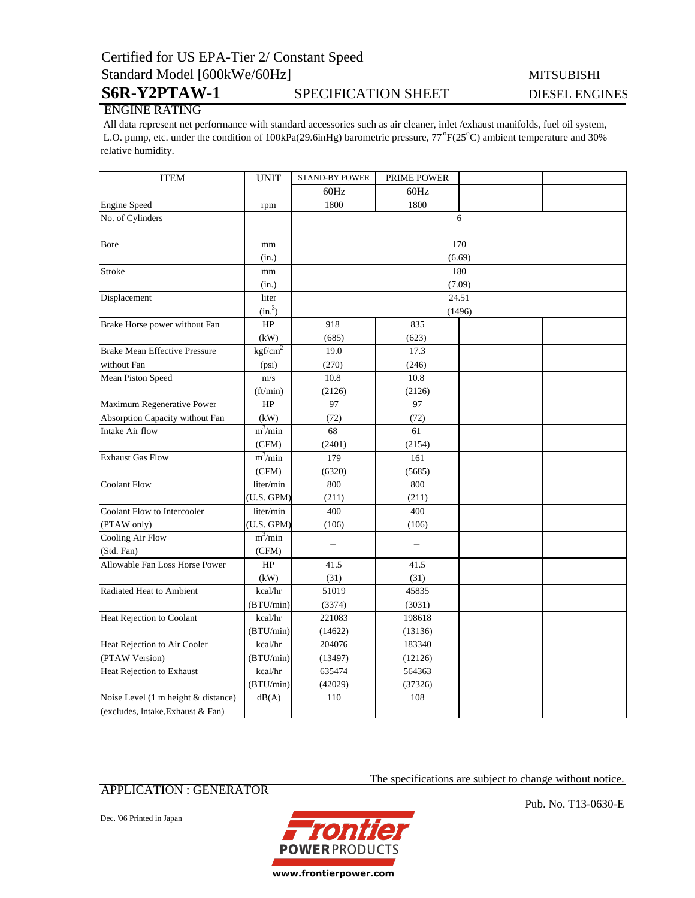## Certified for US EPA-Tier 2/ Constant Speed Standard Model [600kWe/60Hz] MITSUBISHI

S6R-Y2PTAW-1 SPECIFICATION SHEET DIESEL ENGINES

# ENGINE RATING

 All data represent net performance with standard accessories such as air cleaner, inlet /exhaust manifolds, fuel oil system, L.O. pump, etc. under the condition of 100kPa(29.6inHg) barometric pressure, 77°F(25°C) ambient temperature and 30% relative humidity.

| <b>ITEM</b>                          | <b>UNIT</b>         | <b>STAND-BY POWER</b> | PRIME POWER |     |  |
|--------------------------------------|---------------------|-----------------------|-------------|-----|--|
|                                      |                     | 60Hz                  | 60Hz        |     |  |
| <b>Engine Speed</b>                  | rpm                 | 1800                  | 1800        |     |  |
| No. of Cylinders                     |                     |                       |             | 6   |  |
|                                      |                     |                       |             |     |  |
| Bore                                 | mm                  |                       |             | 170 |  |
|                                      | (in.)               | (6.69)                |             |     |  |
| Stroke                               | mm                  | 180                   |             |     |  |
|                                      | (in.)               | (7.09)                |             |     |  |
| Displacement                         | liter               | 24.51                 |             |     |  |
|                                      | (in. <sup>3</sup> ) | (1496)                |             |     |  |
| Brake Horse power without Fan        | $\rm HP$            | 918                   | 835         |     |  |
|                                      | (kW)                | (685)                 | (623)       |     |  |
| <b>Brake Mean Effective Pressure</b> | kgf/cm <sup>2</sup> | 19.0                  | 17.3        |     |  |
| without Fan                          | (psi)               | (270)                 | (246)       |     |  |
| Mean Piston Speed                    | m/s                 | 10.8                  | 10.8        |     |  |
|                                      | (ft/min)            | (2126)                | (2126)      |     |  |
| Maximum Regenerative Power           | HP                  | 97                    | 97          |     |  |
| Absorption Capacity without Fan      | (kW)                | (72)                  | (72)        |     |  |
| Intake Air flow                      | $m^3/m$ in          | 68                    | 61          |     |  |
|                                      | (CFM)               | (2401)                | (2154)      |     |  |
| <b>Exhaust Gas Flow</b>              | $m^3$ /min          | 179                   | 161         |     |  |
|                                      | (CFM)               | (6320)                | (5685)      |     |  |
| <b>Coolant Flow</b>                  | liter/min           | 800                   | 800         |     |  |
|                                      | (U.S. GPM)          | (211)                 | (211)       |     |  |
| Coolant Flow to Intercooler          | liter/min           | 400                   | 400         |     |  |
| (PTAW only)                          | (U.S. GPM)          | (106)                 | (106)       |     |  |
| Cooling Air Flow                     | $m^3/min$           |                       |             |     |  |
| (Std. Fan)                           | (CFM)               |                       |             |     |  |
| Allowable Fan Loss Horse Power       | HP                  | 41.5                  | 41.5        |     |  |
|                                      | (kW)                | (31)                  | (31)        |     |  |
| Radiated Heat to Ambient             | kcal/hr             | 51019                 | 45835       |     |  |
|                                      | (BTU/min)           | (3374)                | (3031)      |     |  |
| Heat Rejection to Coolant            | kcal/hr             | 221083                | 198618      |     |  |
|                                      | (BTU/min)           | (14622)               | (13136)     |     |  |
| Heat Rejection to Air Cooler         | kcal/hr             | 204076                | 183340      |     |  |
| (PTAW Version)                       | (BTU/min)           | (13497)               | (12126)     |     |  |
| Heat Rejection to Exhaust            | kcal/hr             | 635474                | 564363      |     |  |
|                                      | (BTU/min)           | (42029)               | (37326)     |     |  |
| Noise Level (1 m height & distance)  | dB(A)               | 110                   | 108         |     |  |
| (excludes, lntake, Exhaust & Fan)    |                     |                       |             |     |  |

## APPLICATION : GENERATOR

The specifications are subject to change without notice.

Dec. '06 Printed in Japan



Pub. No. T13-0630-E